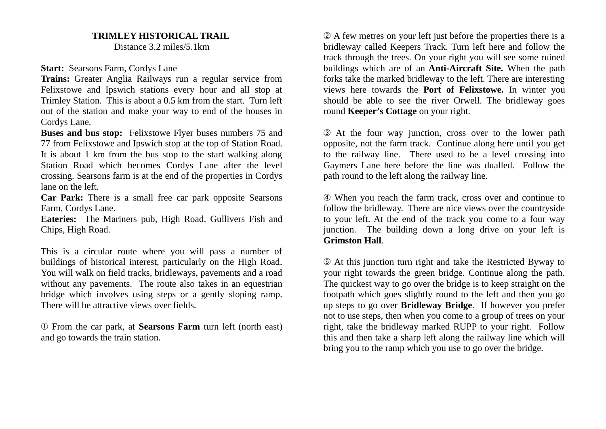## **TRIMLEY HISTORICAL TRAIL**

Distance 3.2 miles/5.1km

**Start: Searsons Farm, Cordys Lane** 

**Trains:** Greater Anglia Railways run a regular service from Felixstowe and Ipswich stations every hour and all stop at Trimley Station. This is about a 0.5 km from the start. Turn left out of the station and make your way to end of the houses in Cordys Lane.

**Buses and bus stop:** Felixstowe Flyer buses numbers 75 and 77 from Felixstowe and Ipswich stop at the top of Station Road. It is about 1 km from the bus stop to the start walking along Station Road which becomes Cordys Lane after the level crossing. Searsons farm is at the end of the properties in Cordys lane on the left.

**Car Park:** There is a small free car park opposite Searsons Farm, Cordys Lane.

**Eateries:** The Mariners pub, High Road. Gullivers Fish and Chips, High Road.

This is a circular route where you will pass a number of buildings of historical interest, particularly on the High Road. You will walk on field tracks, bridleways, pavements and a road without any pavements. The route also takes in an equestrian bridge which involves using steps or a gently sloping ramp. There will be attractive views over fields.

➀ From the car park, at **Searsons Farm** turn left (north east) and go towards the train station.

➁ A few metres on your left just before the properties there is a bridleway called Keepers Track. Turn left here and follow the track through the trees. On your right you will see some ruined buildings which are of an **Anti-Aircraft Site.** When the path forks take the marked bridleway to the left. There are interesting views here towards the **Port of Felixstowe.** In winter you should be able to see the river Orwell. The bridleway goes round **Keeper's Cottage** on your right.

➂ At the four way junction, cross over to the lower path opposite, not the farm track. Continue along here until you get to the railway line. There used to be a level crossing into Gaymers Lane here before the line was dualled. Follow the path round to the left along the railway line.

➃ When you reach the farm track, cross over and continue to follow the bridleway. There are nice views over the countryside to your left. At the end of the track you come to a four way junction. The building down a long drive on your left is **Grimston Hall**.

➄ At this junction turn right and take the Restricted Byway to your right towards the green bridge. Continue along the path. The quickest way to go over the bridge is to keep straight on the footpath which goes slightly round to the left and then you go up steps to go over **Bridleway Bridge**. If however you prefer not to use steps, then when you come to a group of trees on your right, take the bridleway marked RUPP to your right. Follow this and then take a sharp left along the railway line which will bring you to the ramp which you use to go over the bridge.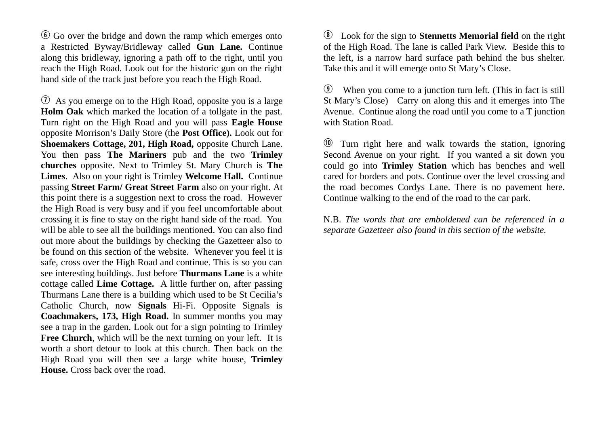$\odot$  Go over the bridge and down the ramp which emerges onto a Restricted Byway/Bridleway called **Gun Lane.** Continue along this bridleway, ignoring a path off to the right, until you reach the High Road. Look out for the historic gun on the right hand side of the track just before you reach the High Road.

 $\overline{v}$  As you emerge on to the High Road, opposite you is a large **Holm Oak** which marked the location of a tollgate in the past. Turn right on the High Road and you will pass **Eagle House** opposite Morrison's Daily Store (the **Post Office).** Look out for **Shoemakers Cottage, 201, High Road,** opposite Church Lane. You then pass **The Mariners** pub and the two **Trimley churches** opposite. Next to Trimley St. Mary Church is **The Limes**. Also on your right is Trimley **Welcome Hall.** Continue passing **Street Farm/ Great Street Farm** also on your right. At this point there is a suggestion next to cross the road. However the High Road is very busy and if you feel uncomfortable about crossing it is fine to stay on the right hand side of the road. You will be able to see all the buildings mentioned. You can also find out more about the buildings by checking the Gazetteer also to be found on this section of the website. Whenever you feel it is safe, cross over the High Road and continue. This is so you can see interesting buildings. Just before **Thurmans Lane** is a white cottage called **Lime Cottage.** A little further on, after passing Thurmans Lane there is a building which used to be St Cecilia's Catholic Church, now **Signals** Hi-Fi. Opposite Signals is **Coachmakers, 173, High Road.** In summer months you may see a trap in the garden. Look out for a sign pointing to Trimley **Free Church**, which will be the next turning on your left. It is worth a short detour to look at this church. Then back on the High Road you will then see a large white house, **Trimley House.** Cross back over the road.

i Look for the sign to **Stennetts Memorial field** on the right of the High Road. The lane is called Park View. Beside this to the left, is a narrow hard surface path behind the bus shelter. Take this and it will emerge onto St Mary's Close.

o When you come to a junction turn left. (This in fact is still St Mary's Close) Carry on along this and it emerges into The Avenue. Continue along the road until you come to a T junction with Station Road.

 $\omega$  Turn right here and walk towards the station, ignoring Second Avenue on your right. If you wanted a sit down you could go into **Trimley Station** which has benches and well cared for borders and pots. Continue over the level crossing and the road becomes Cordys Lane. There is no pavement here. Continue walking to the end of the road to the car park.

N.B. *The words that are emboldened can be referenced in a separate Gazetteer also found in this section of the website.*